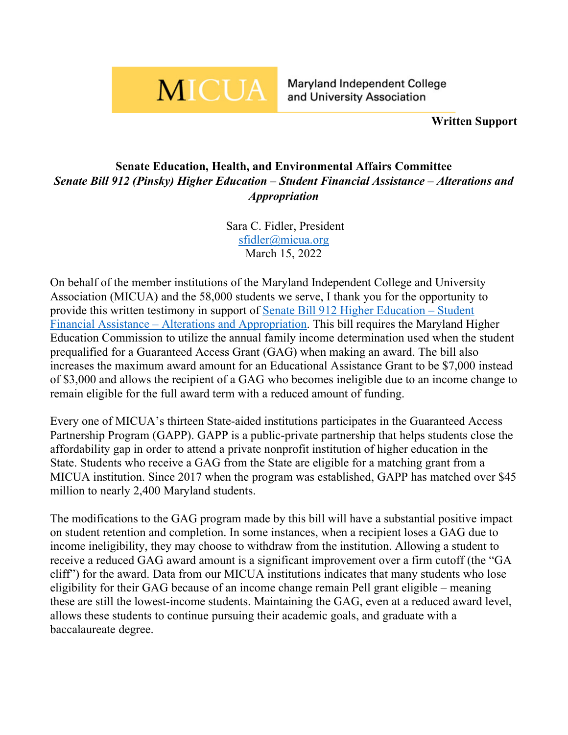## **MICUA**

**Maryland Independent College** and University Association

**Written Support**

## **Senate Education, Health, and Environmental Affairs Committee** *Senate Bill 912 (Pinsky) Higher Education – Student Financial Assistance – Alterations and Appropriation*

Sara C. Fidler, President [sfidler@micua.org](mailto:sfidler@micua.org) March 15, 2022

On behalf of the member institutions of the Maryland Independent College and University Association (MICUA) and the 58,000 students we serve, I thank you for the opportunity to provide this written testimony in support of [Senate Bill 912 Higher Education –](https://mgaleg.maryland.gov/mgawebsite/Legislation/Details/SB0912?ys=2022RS) Student Financial Assistance – [Alterations and Appropriation.](https://mgaleg.maryland.gov/mgawebsite/Legislation/Details/SB0912?ys=2022RS) This bill requires the Maryland Higher Education Commission to utilize the annual family income determination used when the student prequalified for a Guaranteed Access Grant (GAG) when making an award. The bill also increases the maximum award amount for an Educational Assistance Grant to be \$7,000 instead of \$3,000 and allows the recipient of a GAG who becomes ineligible due to an income change to remain eligible for the full award term with a reduced amount of funding.

Every one of MICUA's thirteen State-aided institutions participates in the Guaranteed Access Partnership Program (GAPP). GAPP is a public-private partnership that helps students close the affordability gap in order to attend a private nonprofit institution of higher education in the State. Students who receive a GAG from the State are eligible for a matching grant from a MICUA institution. Since 2017 when the program was established, GAPP has matched over \$45 million to nearly 2,400 Maryland students.

The modifications to the GAG program made by this bill will have a substantial positive impact on student retention and completion. In some instances, when a recipient loses a GAG due to income ineligibility, they may choose to withdraw from the institution. Allowing a student to receive a reduced GAG award amount is a significant improvement over a firm cutoff (the "GA cliff") for the award. Data from our MICUA institutions indicates that many students who lose eligibility for their GAG because of an income change remain Pell grant eligible – meaning these are still the lowest-income students. Maintaining the GAG, even at a reduced award level, allows these students to continue pursuing their academic goals, and graduate with a baccalaureate degree.